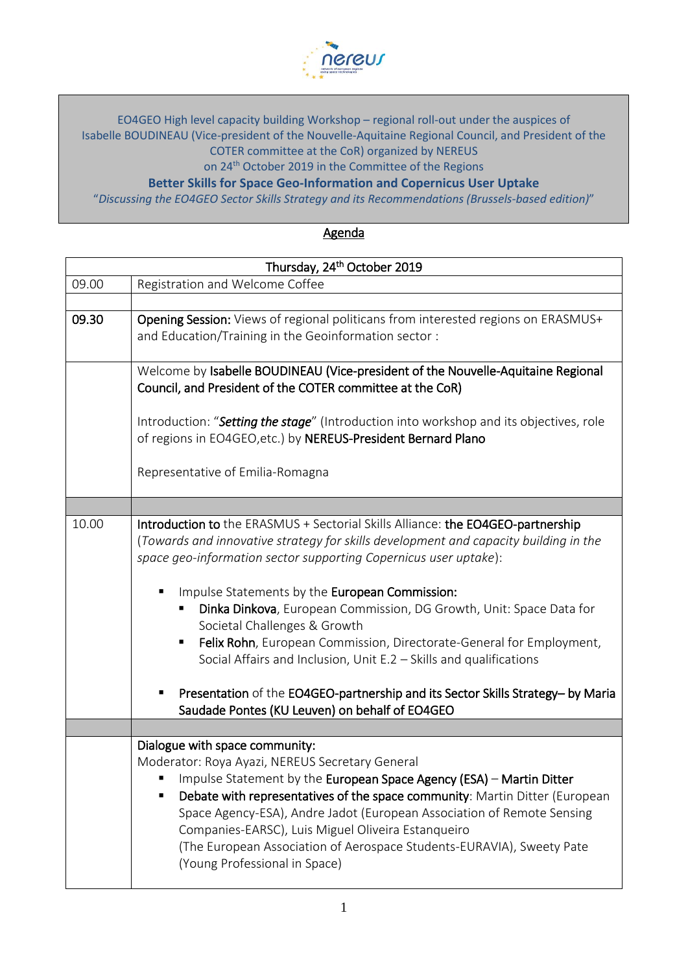

EO4GEO High level capacity building Workshop – regional roll-out under the auspices of Isabelle BOUDINEAU (Vice-president of the Nouvelle-Aquitaine Regional Council, and President of the COTER committee at the CoR) organized by NEREUS

on 24<sup>th</sup> October 2019 in the Committee of the Regions

**Better Skills for Space Geo-Information and Copernicus User Uptake**

"*Discussing the EO4GEO Sector Skills Strategy and its Recommendations (Brussels-based edition)*"

Agenda

| Thursday, 24 <sup>th</sup> October 2019 |                                                                                                                                                                                                                                                                                                                                                                                                                                                                                                                                                                                                                                                                                              |
|-----------------------------------------|----------------------------------------------------------------------------------------------------------------------------------------------------------------------------------------------------------------------------------------------------------------------------------------------------------------------------------------------------------------------------------------------------------------------------------------------------------------------------------------------------------------------------------------------------------------------------------------------------------------------------------------------------------------------------------------------|
| 09.00                                   | Registration and Welcome Coffee                                                                                                                                                                                                                                                                                                                                                                                                                                                                                                                                                                                                                                                              |
|                                         |                                                                                                                                                                                                                                                                                                                                                                                                                                                                                                                                                                                                                                                                                              |
| 09.30                                   | Opening Session: Views of regional politicans from interested regions on ERASMUS+<br>and Education/Training in the Geoinformation sector:                                                                                                                                                                                                                                                                                                                                                                                                                                                                                                                                                    |
|                                         | Welcome by Isabelle BOUDINEAU (Vice-president of the Nouvelle-Aquitaine Regional<br>Council, and President of the COTER committee at the CoR)                                                                                                                                                                                                                                                                                                                                                                                                                                                                                                                                                |
|                                         | Introduction: "Setting the stage" (Introduction into workshop and its objectives, role<br>of regions in EO4GEO, etc.) by NEREUS-President Bernard Plano                                                                                                                                                                                                                                                                                                                                                                                                                                                                                                                                      |
|                                         | Representative of Emilia-Romagna                                                                                                                                                                                                                                                                                                                                                                                                                                                                                                                                                                                                                                                             |
|                                         |                                                                                                                                                                                                                                                                                                                                                                                                                                                                                                                                                                                                                                                                                              |
| 10.00                                   | Introduction to the ERASMUS + Sectorial Skills Alliance: the EO4GEO-partnership<br>(Towards and innovative strategy for skills development and capacity building in the<br>space geo-information sector supporting Copernicus user uptake):<br>Impulse Statements by the European Commission:<br>Dinka Dinkova, European Commission, DG Growth, Unit: Space Data for<br>Societal Challenges & Growth<br>Felix Rohn, European Commission, Directorate-General for Employment,<br>Е<br>Social Affairs and Inclusion, Unit E.2 - Skills and qualifications<br>Presentation of the EO4GEO-partnership and its Sector Skills Strategy- by Maria<br>Saudade Pontes (KU Leuven) on behalf of EO4GEO |
|                                         |                                                                                                                                                                                                                                                                                                                                                                                                                                                                                                                                                                                                                                                                                              |
|                                         | Dialogue with space community:<br>Moderator: Roya Ayazi, NEREUS Secretary General<br>Impulse Statement by the European Space Agency (ESA) - Martin Ditter<br>Debate with representatives of the space community: Martin Ditter (European<br>Space Agency-ESA), Andre Jadot (European Association of Remote Sensing<br>Companies-EARSC), Luis Miguel Oliveira Estanqueiro<br>(The European Association of Aerospace Students-EURAVIA), Sweety Pate<br>(Young Professional in Space)                                                                                                                                                                                                           |